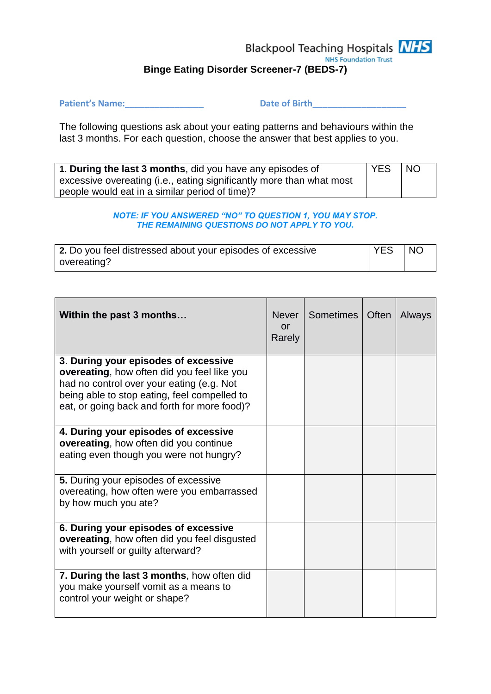## **Blackpool Teaching Hospitals NHS NHS Foundation Trust Binge Eating Disorder Screener-7 (BEDS-7)**

Patient's Name: <u>Date of Birth</u>

The following questions ask about your eating patterns and behaviours within the last 3 months. For each question, choose the answer that best applies to you.

| 1. During the last 3 months, did you have any episodes of            | <b>YES</b> | <b>NO</b> |
|----------------------------------------------------------------------|------------|-----------|
| excessive overeating (i.e., eating significantly more than what most |            |           |
| people would eat in a similar period of time)?                       |            |           |

## *NOTE: IF YOU ANSWERED "NO" TO QUESTION 1, YOU MAY STOP. THE REMAINING QUESTIONS DO NOT APPLY TO YOU.*

| 2. Do you feel distressed about your episodes of excessive | YES | $\overline{\phantom{a}}$ NO |
|------------------------------------------------------------|-----|-----------------------------|
| overeating?                                                |     |                             |

| Within the past 3 months                                                                                                                                                                                                         | Never I<br>or<br>Rarely | Sometimes | Often | Always |
|----------------------------------------------------------------------------------------------------------------------------------------------------------------------------------------------------------------------------------|-------------------------|-----------|-------|--------|
| 3. During your episodes of excessive<br>overeating, how often did you feel like you<br>had no control over your eating (e.g. Not<br>being able to stop eating, feel compelled to<br>eat, or going back and forth for more food)? |                         |           |       |        |
| 4. During your episodes of excessive<br>overeating, how often did you continue<br>eating even though you were not hungry?                                                                                                        |                         |           |       |        |
| 5. During your episodes of excessive<br>overeating, how often were you embarrassed<br>by how much you ate?                                                                                                                       |                         |           |       |        |
| 6. During your episodes of excessive<br><b>overeating, how often did you feel disgusted</b><br>with yourself or guilty afterward?                                                                                                |                         |           |       |        |
| 7. During the last 3 months, how often did<br>you make yourself vomit as a means to<br>control your weight or shape?                                                                                                             |                         |           |       |        |